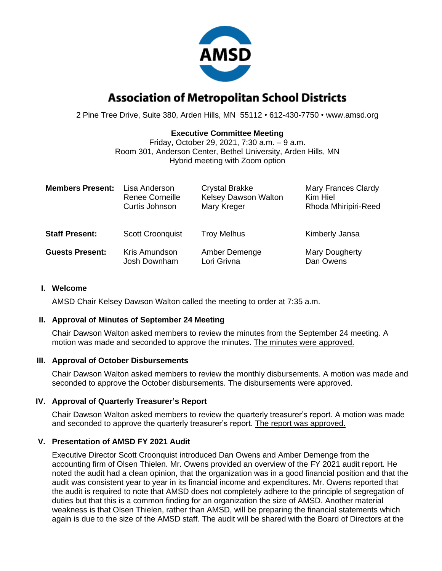

# **Association of Metropolitan School Districts**

2 Pine Tree Drive, Suite 380, Arden Hills, MN 55112 • 612-430-7750 • www.amsd.org

## **Executive Committee Meeting**

Friday, October 29, 2021, 7:30 a.m. – 9 a.m. Room 301, Anderson Center, Bethel University, Arden Hills, MN Hybrid meeting with Zoom option

| <b>Members Present:</b> | Lisa Anderson           | <b>Crystal Brakke</b> | Mary Frances Clardy  |
|-------------------------|-------------------------|-----------------------|----------------------|
|                         | <b>Renee Corneille</b>  | Kelsey Dawson Walton  | Kim Hiel             |
|                         | Curtis Johnson          | Mary Kreger           | Rhoda Mhiripiri-Reed |
| <b>Staff Present:</b>   | <b>Scott Croonquist</b> | <b>Troy Melhus</b>    | Kimberly Jansa       |
| <b>Guests Present:</b>  | Kris Amundson           | Amber Demenge         | Mary Dougherty       |
|                         | Josh Downham            | Lori Grivna           | Dan Owens            |

#### **I. Welcome**

AMSD Chair Kelsey Dawson Walton called the meeting to order at 7:35 a.m.

#### **II. Approval of Minutes of September 24 Meeting**

Chair Dawson Walton asked members to review the minutes from the September 24 meeting. A motion was made and seconded to approve the minutes. The minutes were approved.

#### **III. Approval of October Disbursements**

Chair Dawson Walton asked members to review the monthly disbursements. A motion was made and seconded to approve the October disbursements. The disbursements were approved.

#### **IV. Approval of Quarterly Treasurer's Report**

Chair Dawson Walton asked members to review the quarterly treasurer's report. A motion was made and seconded to approve the quarterly treasurer's report. The report was approved.

## **V. Presentation of AMSD FY 2021 Audit**

Executive Director Scott Croonquist introduced Dan Owens and Amber Demenge from the accounting firm of Olsen Thielen. Mr. Owens provided an overview of the FY 2021 audit report. He noted the audit had a clean opinion, that the organization was in a good financial position and that the audit was consistent year to year in its financial income and expenditures. Mr. Owens reported that the audit is required to note that AMSD does not completely adhere to the principle of segregation of duties but that this is a common finding for an organization the size of AMSD. Another material weakness is that Olsen Thielen, rather than AMSD, will be preparing the financial statements which again is due to the size of the AMSD staff. The audit will be shared with the Board of Directors at the